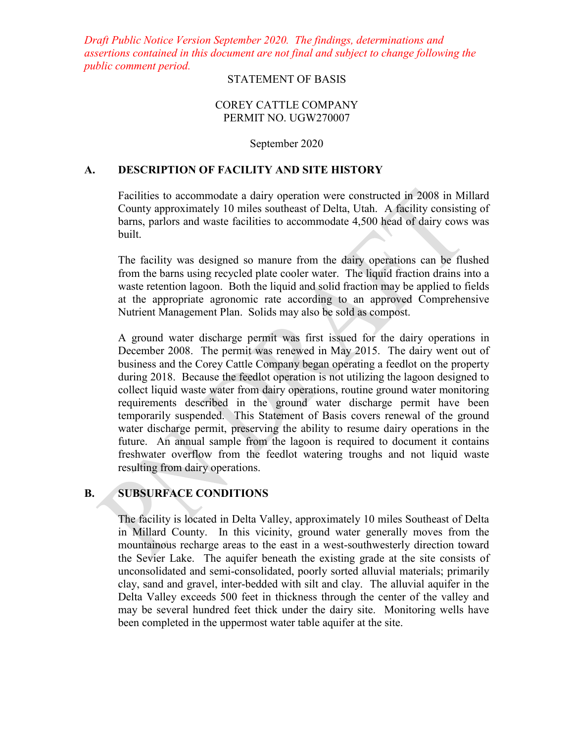*Draft Public Notice Version September 2020. The findings, determinations and assertions contained in this document are not final and subject to change following the public comment period.*

## STATEMENT OF BASIS

### COREY CATTLE COMPANY PERMIT NO. UGW270007

#### September 2020

### **A. DESCRIPTION OF FACILITY AND SITE HISTORY**

Facilities to accommodate a dairy operation were constructed in 2008 in Millard County approximately 10 miles southeast of Delta, Utah. A facility consisting of barns, parlors and waste facilities to accommodate 4,500 head of dairy cows was built.

The facility was designed so manure from the dairy operations can be flushed from the barns using recycled plate cooler water. The liquid fraction drains into a waste retention lagoon. Both the liquid and solid fraction may be applied to fields at the appropriate agronomic rate according to an approved Comprehensive Nutrient Management Plan. Solids may also be sold as compost.

A ground water discharge permit was first issued for the dairy operations in December 2008. The permit was renewed in May 2015. The dairy went out of business and the Corey Cattle Company began operating a feedlot on the property during 2018. Because the feedlot operation is not utilizing the lagoon designed to collect liquid waste water from dairy operations, routine ground water monitoring requirements described in the ground water discharge permit have been temporarily suspended. This Statement of Basis covers renewal of the ground water discharge permit, preserving the ability to resume dairy operations in the future. An annual sample from the lagoon is required to document it contains freshwater overflow from the feedlot watering troughs and not liquid waste resulting from dairy operations.

## **B. SUBSURFACE CONDITIONS**

The facility is located in Delta Valley, approximately 10 miles Southeast of Delta in Millard County. In this vicinity, ground water generally moves from the mountainous recharge areas to the east in a west-southwesterly direction toward the Sevier Lake. The aquifer beneath the existing grade at the site consists of unconsolidated and semi-consolidated, poorly sorted alluvial materials; primarily clay, sand and gravel, inter-bedded with silt and clay. The alluvial aquifer in the Delta Valley exceeds 500 feet in thickness through the center of the valley and may be several hundred feet thick under the dairy site. Monitoring wells have been completed in the uppermost water table aquifer at the site.